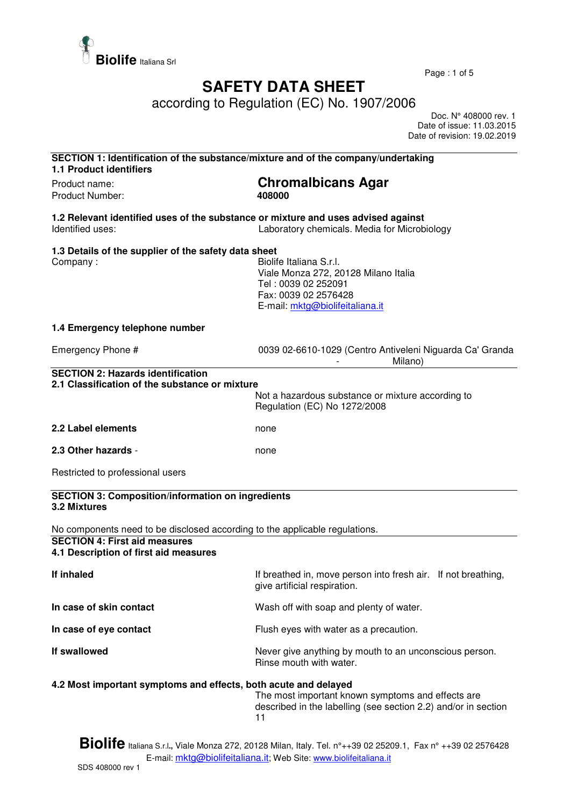

Page : 1 of 5

## **SAFETY DATA SHEET**

according to Regulation (EC) No. 1907/2006

 Doc. N° 408000 rev. 1 Date of issue: 11.03.2015 Date of revision: 19.02.2019

| SECTION 1: Identification of the substance/mixture and of the company/undertaking<br><b>1.1 Product identifiers</b>                                          |                                                                                                                                                   |
|--------------------------------------------------------------------------------------------------------------------------------------------------------------|---------------------------------------------------------------------------------------------------------------------------------------------------|
| Product name:<br><b>Product Number:</b>                                                                                                                      | <b>Chromalbicans Agar</b><br>408000                                                                                                               |
| 1.2 Relevant identified uses of the substance or mixture and uses advised against<br>Identified uses:                                                        | Laboratory chemicals. Media for Microbiology                                                                                                      |
| 1.3 Details of the supplier of the safety data sheet<br>Company:                                                                                             | Biolife Italiana S.r.l.<br>Viale Monza 272, 20128 Milano Italia<br>Tel: 0039 02 252091<br>Fax: 0039 02 2576428<br>E-mail: mktg@biolifeitaliana.it |
| 1.4 Emergency telephone number                                                                                                                               |                                                                                                                                                   |
| Emergency Phone #                                                                                                                                            | 0039 02-6610-1029 (Centro Antiveleni Niguarda Ca' Granda<br>Milano)                                                                               |
| <b>SECTION 2: Hazards identification</b><br>2.1 Classification of the substance or mixture                                                                   | Not a hazardous substance or mixture according to<br>Regulation (EC) No 1272/2008                                                                 |
| 2.2 Label elements                                                                                                                                           | none                                                                                                                                              |
| 2.3 Other hazards -                                                                                                                                          | none                                                                                                                                              |
| Restricted to professional users                                                                                                                             |                                                                                                                                                   |
| <b>SECTION 3: Composition/information on ingredients</b><br>3.2 Mixtures                                                                                     |                                                                                                                                                   |
| No components need to be disclosed according to the applicable regulations.<br><b>SECTION 4: First aid measures</b><br>4.1 Description of first aid measures |                                                                                                                                                   |
| If inhaled                                                                                                                                                   | If breathed in, move person into fresh air. If not breathing,<br>give artificial respiration.                                                     |
| In case of skin contact                                                                                                                                      | Wash off with soap and plenty of water.                                                                                                           |
| In case of eye contact                                                                                                                                       | Flush eyes with water as a precaution.                                                                                                            |
| If swallowed                                                                                                                                                 | Never give anything by mouth to an unconscious person.<br>Rinse mouth with water.                                                                 |
| 4.2 Most important symptoms and effects, both acute and delayed                                                                                              | The most important known symptoms and effects are<br>described in the labelling (see section 2.2) and/or in section<br>11                         |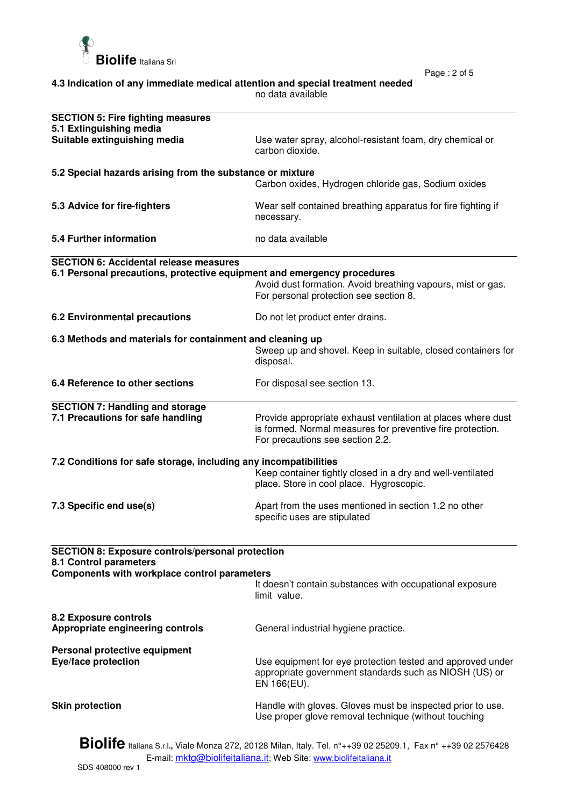

Page : 2 of 5

| 4.3 Indication of any immediate medical attention and special treatment needed |  |
|--------------------------------------------------------------------------------|--|
| no data available                                                              |  |

| <b>SECTION 5: Fire fighting measures</b><br>5.1 Extinguishing media                                                                                                        |                                                                                                                                                                |  |
|----------------------------------------------------------------------------------------------------------------------------------------------------------------------------|----------------------------------------------------------------------------------------------------------------------------------------------------------------|--|
| Suitable extinguishing media                                                                                                                                               | Use water spray, alcohol-resistant foam, dry chemical or<br>carbon dioxide.                                                                                    |  |
| 5.2 Special hazards arising from the substance or mixture                                                                                                                  |                                                                                                                                                                |  |
|                                                                                                                                                                            | Carbon oxides, Hydrogen chloride gas, Sodium oxides                                                                                                            |  |
| 5.3 Advice for fire-fighters                                                                                                                                               | Wear self contained breathing apparatus for fire fighting if<br>necessary.                                                                                     |  |
| 5.4 Further information                                                                                                                                                    | no data available                                                                                                                                              |  |
| <b>SECTION 6: Accidental release measures</b>                                                                                                                              |                                                                                                                                                                |  |
| 6.1 Personal precautions, protective equipment and emergency procedures                                                                                                    | Avoid dust formation. Avoid breathing vapours, mist or gas.<br>For personal protection see section 8.                                                          |  |
| <b>6.2 Environmental precautions</b>                                                                                                                                       | Do not let product enter drains.                                                                                                                               |  |
| 6.3 Methods and materials for containment and cleaning up                                                                                                                  | Sweep up and shovel. Keep in suitable, closed containers for<br>disposal.                                                                                      |  |
| 6.4 Reference to other sections                                                                                                                                            | For disposal see section 13.                                                                                                                                   |  |
| <b>SECTION 7: Handling and storage</b><br>7.1 Precautions for safe handling                                                                                                | Provide appropriate exhaust ventilation at places where dust<br>is formed. Normal measures for preventive fire protection.<br>For precautions see section 2.2. |  |
| 7.2 Conditions for safe storage, including any incompatibilities<br>Keep container tightly closed in a dry and well-ventilated<br>place. Store in cool place. Hygroscopic. |                                                                                                                                                                |  |
| 7.3 Specific end use(s)                                                                                                                                                    | Apart from the uses mentioned in section 1.2 no other<br>specific uses are stipulated                                                                          |  |
| <b>SECTION 8: Exposure controls/personal protection</b><br>8.1 Control parameters                                                                                          |                                                                                                                                                                |  |
| Components with workplace control parameters                                                                                                                               |                                                                                                                                                                |  |
|                                                                                                                                                                            | It doesn't contain substances with occupational exposure<br>limit value.                                                                                       |  |
| 8.2 Exposure controls<br>Appropriate engineering controls                                                                                                                  | General industrial hygiene practice.                                                                                                                           |  |
| Personal protective equipment<br><b>Eye/face protection</b>                                                                                                                | Use equipment for eye protection tested and approved under<br>appropriate government standards such as NIOSH (US) or<br>EN 166(EU).                            |  |
| <b>Skin protection</b>                                                                                                                                                     | Handle with gloves. Gloves must be inspected prior to use.<br>Use proper glove removal technique (without touching                                             |  |

**Biolife** Italiana S.r.l**.,** Viale Monza 272, 20128 Milan, Italy. Tel. n°++39 02 25209.1, Fax n° ++39 02 2576428 E-mail: <u>mktg@biolifeitaliana.it</u>; Web Site: www.biolifeitaliana.it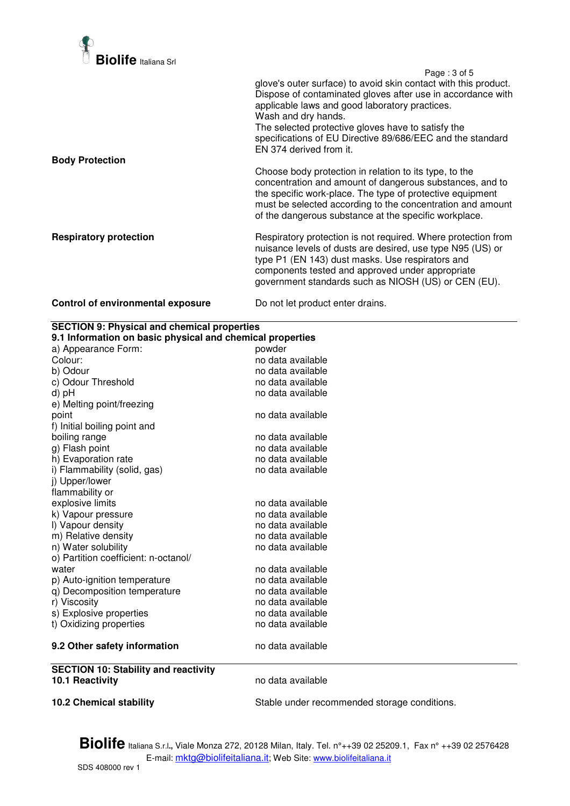

 Page : 3 of 5 glove's outer surface) to avoid skin contact with this product. Dispose of contaminated gloves after use in accordance with applicable laws and good laboratory practices. Wash and dry hands. The selected protective gloves have to satisfy the specifications of EU Directive 89/686/EEC and the standard EN 374 derived from it. **Body Protection**  Choose body protection in relation to its type, to the concentration and amount of dangerous substances, and to the specific work-place. The type of protective equipment must be selected according to the concentration and amount of the dangerous substance at the specific workplace. **Respiratory protection Respiratory protection is not required. Where protection from** nuisance levels of dusts are desired, use type N95 (US) or type P1 (EN 143) dust masks. Use respirators and components tested and approved under appropriate government standards such as NIOSH (US) or CEN (EU).

## **Control of environmental exposure** Do not let product enter drains.

| <b>SECTION 9: Physical and chemical properties</b>        |                                              |  |  |  |
|-----------------------------------------------------------|----------------------------------------------|--|--|--|
| 9.1 Information on basic physical and chemical properties |                                              |  |  |  |
| a) Appearance Form:                                       | powder                                       |  |  |  |
| Colour:                                                   | no data available                            |  |  |  |
| b) Odour                                                  | no data available                            |  |  |  |
| c) Odour Threshold                                        | no data available                            |  |  |  |
| d) pH                                                     | no data available                            |  |  |  |
| e) Melting point/freezing                                 |                                              |  |  |  |
| point                                                     | no data available                            |  |  |  |
| f) Initial boiling point and                              |                                              |  |  |  |
| boiling range                                             | no data available                            |  |  |  |
| g) Flash point                                            | no data available                            |  |  |  |
| h) Evaporation rate                                       | no data available                            |  |  |  |
| i) Flammability (solid, gas)                              | no data available                            |  |  |  |
| j) Upper/lower                                            |                                              |  |  |  |
| flammability or                                           |                                              |  |  |  |
| explosive limits                                          | no data available                            |  |  |  |
| k) Vapour pressure                                        | no data available                            |  |  |  |
| I) Vapour density                                         | no data available                            |  |  |  |
| m) Relative density                                       | no data available                            |  |  |  |
| n) Water solubility                                       | no data available                            |  |  |  |
| o) Partition coefficient: n-octanol/                      |                                              |  |  |  |
| water                                                     | no data available                            |  |  |  |
| p) Auto-ignition temperature                              | no data available                            |  |  |  |
| q) Decomposition temperature                              | no data available                            |  |  |  |
| r) Viscosity                                              | no data available                            |  |  |  |
| s) Explosive properties                                   | no data available                            |  |  |  |
| t) Oxidizing properties                                   | no data available                            |  |  |  |
| 9.2 Other safety information                              | no data available                            |  |  |  |
| <b>SECTION 10: Stability and reactivity</b>               |                                              |  |  |  |
| 10.1 Reactivity                                           | no data available                            |  |  |  |
| <b>10.2 Chemical stability</b>                            | Stable under recommended storage conditions. |  |  |  |

**Biolife** Italiana S.r.l**.,** Viale Monza 272, 20128 Milan, Italy. Tel. n°++39 02 25209.1, Fax n° ++39 02 2576428 E-mail: mktg@biolifeitaliana.it; Web Site: www.biolifeitaliana.it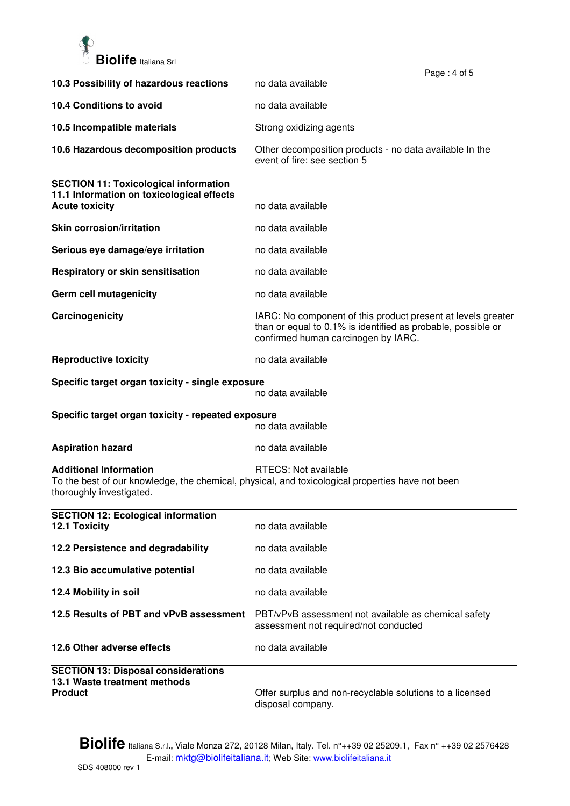

|                                                                                                                    | Page: 4 of 5                                                                                                                                                        |
|--------------------------------------------------------------------------------------------------------------------|---------------------------------------------------------------------------------------------------------------------------------------------------------------------|
| 10.3 Possibility of hazardous reactions                                                                            | no data available                                                                                                                                                   |
| 10.4 Conditions to avoid                                                                                           | no data available                                                                                                                                                   |
| 10.5 Incompatible materials                                                                                        | Strong oxidizing agents                                                                                                                                             |
| 10.6 Hazardous decomposition products                                                                              | Other decomposition products - no data available In the<br>event of fire: see section 5                                                                             |
| <b>SECTION 11: Toxicological information</b><br>11.1 Information on toxicological effects<br><b>Acute toxicity</b> | no data available                                                                                                                                                   |
| <b>Skin corrosion/irritation</b>                                                                                   | no data available                                                                                                                                                   |
| Serious eye damage/eye irritation                                                                                  | no data available                                                                                                                                                   |
| Respiratory or skin sensitisation                                                                                  | no data available                                                                                                                                                   |
| Germ cell mutagenicity                                                                                             | no data available                                                                                                                                                   |
| Carcinogenicity                                                                                                    | IARC: No component of this product present at levels greater<br>than or equal to 0.1% is identified as probable, possible or<br>confirmed human carcinogen by IARC. |
| <b>Reproductive toxicity</b>                                                                                       | no data available                                                                                                                                                   |
| Specific target organ toxicity - single exposure                                                                   | no data available                                                                                                                                                   |
| Specific target organ toxicity - repeated exposure                                                                 | no data available                                                                                                                                                   |
| <b>Aspiration hazard</b>                                                                                           | no data available                                                                                                                                                   |
| <b>Additional Information</b><br>thoroughly investigated.                                                          | RTECS: Not available<br>To the best of our knowledge, the chemical, physical, and toxicological properties have not been                                            |
| <b>SECTION 12: Ecological information</b><br>12.1 Toxicity                                                         | no data available                                                                                                                                                   |
| 12.2 Persistence and degradability                                                                                 | no data available                                                                                                                                                   |
| 12.3 Bio accumulative potential                                                                                    | no data available                                                                                                                                                   |
| 12.4 Mobility in soil                                                                                              | no data available                                                                                                                                                   |
| 12.5 Results of PBT and vPvB assessment                                                                            | PBT/vPvB assessment not available as chemical safety<br>assessment not required/not conducted                                                                       |
| 12.6 Other adverse effects                                                                                         | no data available                                                                                                                                                   |
| <b>SECTION 13: Disposal considerations</b><br>13.1 Waste treatment methods<br><b>Product</b>                       | Offer surplus and non-recyclable solutions to a licensed                                                                                                            |

**Biolife** Italiana S.r.l**.,** Viale Monza 272, 20128 Milan, Italy. Tel. n°++39 02 25209.1, Fax n° ++39 02 2576428

disposal company.